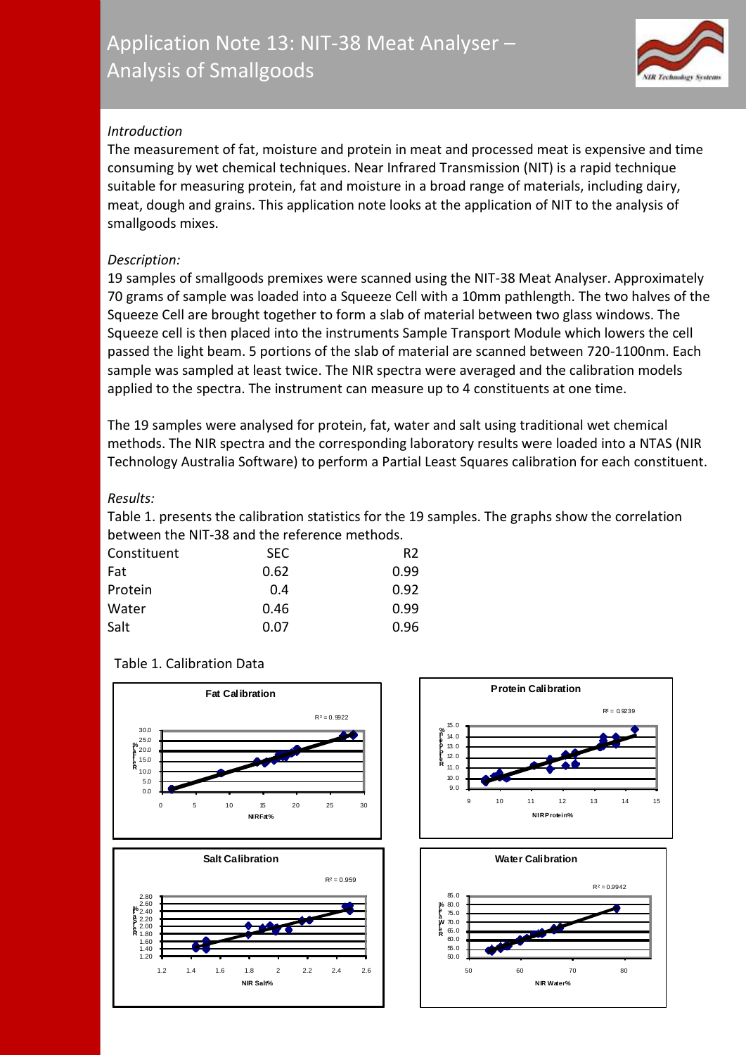

# *Introduction*

The measurement of fat, moisture and protein in meat and processed meat is expensive and time consuming by wet chemical techniques. Near Infrared Transmission (NIT) is a rapid technique suitable for measuring protein, fat and moisture in a broad range of materials, including dairy, meat, dough and grains. This application note looks at the application of NIT to the analysis of smallgoods mixes.

### *Description:*

19 samples of smallgoods premixes were scanned using the NIT-38 Meat Analyser. Approximately 70 grams of sample was loaded into a Squeeze Cell with a 10mm pathlength. The two halves of the Squeeze Cell are brought together to form a slab of material between two glass windows. The Squeeze cell is then placed into the instruments Sample Transport Module which lowers the cell passed the light beam. 5 portions of the slab of material are scanned between 720-1100nm. Each sample was sampled at least twice. The NIR spectra were averaged and the calibration models applied to the spectra. The instrument can measure up to 4 constituents at one time.

The 19 samples were analysed for protein, fat, water and salt using traditional wet chemical methods. The NIR spectra and the corresponding laboratory results were loaded into a NTAS (NIR Technology Australia Software) to perform a Partial Least Squares calibration for each constituent.

### *Results:*

Table 1. presents the calibration statistics for the 19 samples. The graphs show the correlation between the NIT-38 and the reference methods.

| Constituent | <b>SEC</b> | R2   |
|-------------|------------|------|
| Fat         | 0.62       | 0.99 |
| Protein     | 0.4        | 0.92 |
| Water       | 0.46       | 0.99 |
| Salt        | 0.07       | 0.96 |

# Table 1. Calibration Data